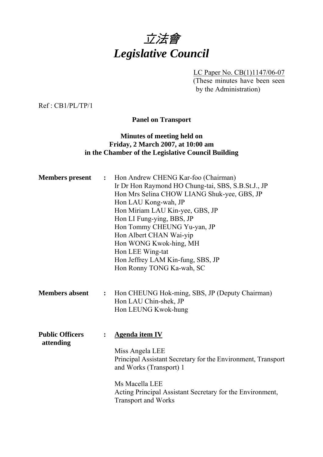

LC Paper No. CB(1)1147/06-07 (These minutes have been seen by the Administration)

Ref : CB1/PL/TP/1

**Panel on Transport** 

# **Minutes of meeting held on Friday, 2 March 2007, at 10:00 am in the Chamber of the Legislative Council Building**

| <b>Members</b> present              | $\ddot{\cdot}$ | Hon Andrew CHENG Kar-foo (Chairman)<br>Ir Dr Hon Raymond HO Chung-tai, SBS, S.B.St.J., JP<br>Hon Mrs Selina CHOW LIANG Shuk-yee, GBS, JP                                                                                                                       |
|-------------------------------------|----------------|----------------------------------------------------------------------------------------------------------------------------------------------------------------------------------------------------------------------------------------------------------------|
|                                     |                | Hon LAU Kong-wah, JP<br>Hon Miriam LAU Kin-yee, GBS, JP<br>Hon LI Fung-ying, BBS, JP<br>Hon Tommy CHEUNG Yu-yan, JP<br>Hon Albert CHAN Wai-yip<br>Hon WONG Kwok-hing, MH<br>Hon LEE Wing-tat<br>Hon Jeffrey LAM Kin-fung, SBS, JP<br>Hon Ronny TONG Ka-wah, SC |
| <b>Members absent</b>               | $\ddot{\cdot}$ | Hon CHEUNG Hok-ming, SBS, JP (Deputy Chairman)<br>Hon LAU Chin-shek, JP<br>Hon LEUNG Kwok-hung                                                                                                                                                                 |
| <b>Public Officers</b><br>attending | $\ddot{\cdot}$ | <b>Agenda item IV</b><br>Miss Angela LEE<br>Principal Assistant Secretary for the Environment, Transport<br>and Works (Transport) 1<br>Ms Macella LEE<br>Acting Principal Assistant Secretary for the Environment,<br><b>Transport and Works</b>               |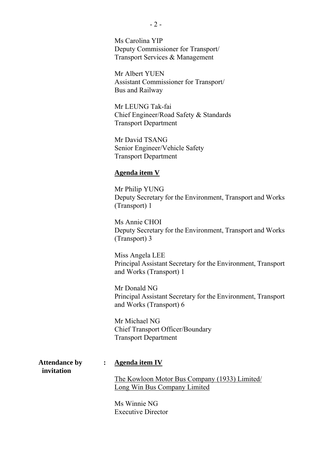Ms Carolina YIP Deputy Commissioner for Transport/ Transport Services & Management

Mr Albert YUEN Assistant Commissioner for Transport/ Bus and Railway

Mr LEUNG Tak-fai Chief Engineer/Road Safety & Standards Transport Department

Mr David TSANG Senior Engineer/Vehicle Safety Transport Department

#### **Agenda item V**

Mr Philip YUNG Deputy Secretary for the Environment, Transport and Works (Transport) 1

Ms Annie CHOI Deputy Secretary for the Environment, Transport and Works (Transport) 3

Miss Angela LEE Principal Assistant Secretary for the Environment, Transport and Works (Transport) 1

Mr Donald NG Principal Assistant Secretary for the Environment, Transport and Works (Transport) 6

Mr Michael NG Chief Transport Officer/Boundary Transport Department

**Attendance by : Agenda item IV invitation** 

The Kowloon Motor Bus Company (1933) Limited/ Long Win Bus Company Limited

Ms Winnie NG Executive Director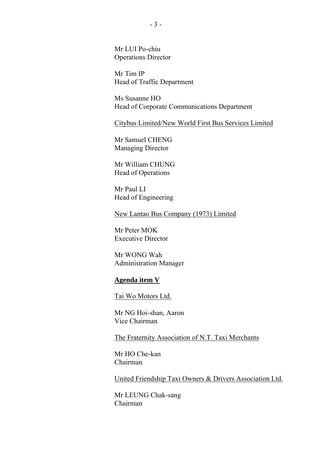Mr LUI Po-chiu Operations Director

Mr Tim IP Head of Traffic Department

Ms Susanne HO Head of Corporate Communications Department

Citybus Limited/New World First Bus Services Limited

Mr Samuel CHENG Managing Director

Mr William CHUNG Head of Operations

Mr Paul LI Head of Engineering

New Lantao Bus Company (1973) Limited

Mr Peter MOK Executive Director

Mr WONG Wah Administration Manager

#### **Agenda item V**

Tai Wo Motors Ltd.

Mr NG Hoi-shan, Aaron Vice Chairman

The Fraternity Association of N.T. Taxi Merchants

Mr HO Che-kan Chairman

United Friendship Taxi Owners & Drivers Association Ltd.

Mr LEUNG Chak-sang Chairman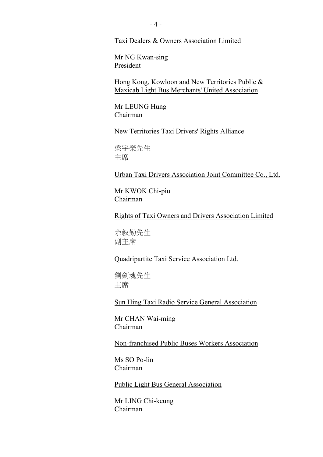Taxi Dealers & Owners Association Limited

Mr NG Kwan-sing President

Hong Kong, Kowloon and New Territories Public & Maxicab Light Bus Merchants' United Association

Mr LEUNG Hung Chairman

New Territories Taxi Drivers' Rights Alliance

梁宇榮先生 主席

Urban Taxi Drivers Association Joint Committee Co., Ltd.

Mr KWOK Chi-piu Chairman

Rights of Taxi Owners and Drivers Association Limited

余勤先生 副主席

Quadripartite Taxi Service Association Ltd.

劉劍魂先生 主席

Sun Hing Taxi Radio Service General Association

Mr CHAN Wai-ming Chairman

Non-franchised Public Buses Workers Association

Ms SO Po-lin Chairman

Public Light Bus General Association

Mr LING Chi-keung Chairman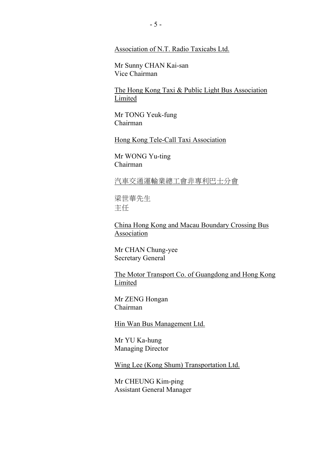## Association of N.T. Radio Taxicabs Ltd.

Mr Sunny CHAN Kai-san Vice Chairman

The Hong Kong Taxi & Public Light Bus Association Limited

Mr TONG Yeuk-fung Chairman

Hong Kong Tele-Call Taxi Association

Mr WONG Yu-ting Chairman

汽車交通運輸業總工會非專利巴士分會

梁世華先生 主任

China Hong Kong and Macau Boundary Crossing Bus Association

Mr CHAN Chung-yee Secretary General

The Motor Transport Co. of Guangdong and Hong Kong Limited

Mr ZENG Hongan Chairman

Hin Wan Bus Management Ltd.

Mr YU Ka-hung Managing Director

Wing Lee (Kong Shum) Transportation Ltd.

Mr CHEUNG Kim-ping Assistant General Manager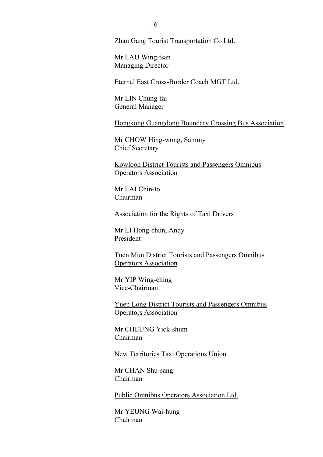Zhan Gang Tourist Transportation Co Ltd.

Mr LAU Wing-tsan Managing Director

Eternal East Cross-Border Coach MGT Ltd.

Mr LIN Chung-fai General Manager

Hongkong Guangdong Boundary Crossing Bus Association

Mr CHOW Hing-wong, Sammy Chief Secretary

Kowloon District Tourists and Passengers Omnibus Operators Association

Mr LAI Chin-to Chairman

Association for the Rights of Taxi Drivers

Mr LI Hong-chun, Andy President

Tuen Mun District Tourists and Passengers Omnibus Operators Association

Mr YIP Wing-ching Vice-Chairman

Yuen Long District Tourists and Passengers Omnibus Operators Association

Mr CHEUNG Yick-shum Chairman

New Territories Taxi Operations Union

Mr CHAN Shu-sang Chairman

Public Omnibus Operators Association Ltd.

Mr YEUNG Wai-hung Chairman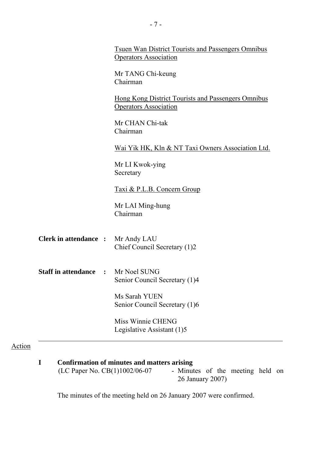| <b>Tsuen Wan District Tourists and Passengers Omnibus</b><br><b>Operators Association</b> |
|-------------------------------------------------------------------------------------------|
| Mr TANG Chi-keung<br>Chairman                                                             |
| Hong Kong District Tourists and Passengers Omnibus<br><b>Operators Association</b>        |
| Mr CHAN Chi-tak<br>Chairman                                                               |
| Wai Yik HK, Kln & NT Taxi Owners Association Ltd.                                         |
| Mr LI Kwok-ying<br>Secretary                                                              |
| Taxi & P.L.B. Concern Group                                                               |
| Mr LAI Ming-hung<br>Chairman                                                              |
| <b>Clerk in attendance :</b> Mr Andy LAU<br>Chief Council Secretary (1)2                  |
| <b>Staff in attendance : Mr Noel SUNG</b><br>Senior Council Secretary (1)4                |
| Ms Sarah YUEN<br>Senior Council Secretary (1)6                                            |
| Miss Winnie CHENG<br>Legislative Assistant (1)5                                           |
|                                                                                           |

| Confirmation of minutes and matters arising |                                  |  |  |  |
|---------------------------------------------|----------------------------------|--|--|--|
| (LC Paper No. $CB(1)1002/06-07$             | - Minutes of the meeting held on |  |  |  |
|                                             | 26 January 2007)                 |  |  |  |

The minutes of the meeting held on 26 January 2007 were confirmed.

Action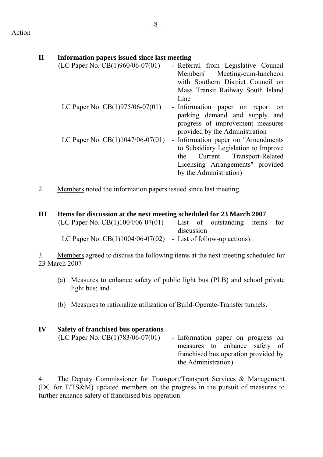| $\mathbf{I}\mathbf{I}$ | Information papers issued since last meeting |                                      |
|------------------------|----------------------------------------------|--------------------------------------|
|                        | (LC Paper No. CB $(1)960/06-07(01)$ )        | - Referral from Legislative Council  |
|                        |                                              | Members' Meeting-cum-luncheon        |
|                        |                                              | with Southern District Council on    |
|                        |                                              | Mass Transit Railway South Island    |
|                        |                                              | Line                                 |
|                        | LC Paper No. $CB(1)975/06-07(01)$            | - Information paper on report<br>on  |
|                        |                                              | parking demand and supply and        |
|                        |                                              | progress of improvement measures     |
|                        |                                              | provided by the Administration       |
|                        | LC Paper No. $CB(1)1047/06-07(01)$           | - Information paper on "Amendments   |
|                        |                                              | to Subsidiary Legislation to Improve |
|                        |                                              | Current Transport-Related<br>the     |
|                        |                                              | Licensing Arrangements" provided     |
|                        |                                              | by the Administration)               |

2. Members noted the information papers issued since last meeting.

# **III Items for discussion at the next meeting scheduled for 23 March 2007**

| $(LC$ Paper No. $CB(1)1004/06-07(01)$ - List of outstanding items for |            |  |  |
|-----------------------------------------------------------------------|------------|--|--|
|                                                                       | discussion |  |  |
| LC Paper No. $CB(1)1004/06-07(02)$ - List of follow-up actions)       |            |  |  |

3. Members agreed to discuss the following items at the next meeting scheduled for 23 March 2007 –

- (a) Measures to enhance safety of public light bus (PLB) and school private light bus; and
- (b) Measures to rationalize utilization of Build-Operate-Transfer tunnels.

| IV | Safety of franchised bus operations |                                      |
|----|-------------------------------------|--------------------------------------|
|    | (LC Paper No. CB(1)783/06-07(01)    | - Information paper on progress on   |
|    |                                     | measures to enhance safety of        |
|    |                                     | franchised bus operation provided by |
|    |                                     | the Administration)                  |

4. The Deputy Commissioner for Transport/Transport Services & Management (DC for T/TS&M) updated members on the progress in the pursuit of measures to further enhance safety of franchised bus operation.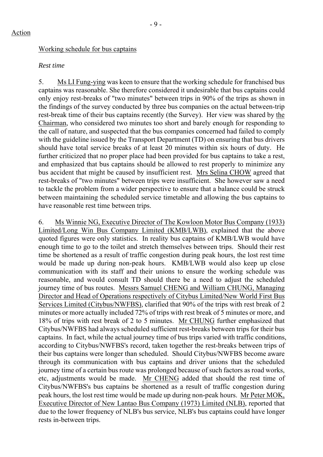#### Working schedule for bus captains

#### *Rest time*

5. Ms LI Fung-ying was keen to ensure that the working schedule for franchised bus captains was reasonable. She therefore considered it undesirable that bus captains could only enjoy rest-breaks of "two minutes" between trips in 90% of the trips as shown in the findings of the survey conducted by three bus companies on the actual between-trip rest-break time of their bus captains recently (the Survey). Her view was shared by the Chairman, who considered two minutes too short and barely enough for responding to the call of nature, and suspected that the bus companies concerned had failed to comply with the guideline issued by the Transport Department *(TD)* on ensuring that bus drivers should have total service breaks of at least 20 minutes within six hours of duty. He further criticized that no proper place had been provided for bus captains to take a rest, and emphasized that bus captains should be allowed to rest properly to minimize any bus accident that might be caused by insufficient rest. Mrs Selina CHOW agreed that rest-breaks of "two minutes" between trips were insufficient. She however saw a need to tackle the problem from a wider perspective to ensure that a balance could be struck between maintaining the scheduled service timetable and allowing the bus captains to have reasonable rest time between trips.

6. Ms Winnie NG, Executive Director of The Kowloon Motor Bus Company (1933) Limited/Long Win Bus Company Limited (KMB/LWB), explained that the above quoted figures were only statistics. In reality bus captains of KMB/LWB would have enough time to go to the toilet and stretch themselves between trips. Should their rest time be shortened as a result of traffic congestion during peak hours, the lost rest time would be made up during non-peak hours. KMB/LWB would also keep up close communication with its staff and their unions to ensure the working schedule was reasonable, and would consult TD should there be a need to adjust the scheduled journey time of bus routes. Messrs Samuel CHENG and William CHUNG, Managing Director and Head of Operations respectively of Citybus Limited/New World First Bus Services Limited (Citybus/NWFBS), clarified that 90% of the trips with rest break of 2 minutes or more actually included 72% of trips with rest break of 5 minutes or more, and 18% of trips with rest break of 2 to 5 minutes. Mr CHUNG further emphasized that Citybus/NWFBS had always scheduled sufficient rest-breaks between trips for their bus captains. In fact, while the actual journey time of bus trips varied with traffic conditions, according to Citybus/NWFBS's record, taken together the rest-breaks between trips of their bus captains were longer than scheduled. Should Citybus/NWFBS become aware through its communication with bus captains and driver unions that the scheduled journey time of a certain bus route was prolonged because of such factors as road works, etc, adjustments would be made. Mr CHENG added that should the rest time of Citybus/NWFBS's bus captains be shortened as a result of traffic congestion during peak hours, the lost rest time would be made up during non-peak hours. Mr Peter MOK, Executive Director of New Lantao Bus Company (1973) Limited (NLB), reported that due to the lower frequency of NLB's bus service, NLB's bus captains could have longer rests in-between trips.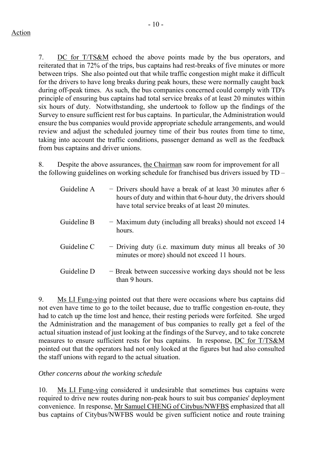$-10-$ 

7. DC for T/TS&M echoed the above points made by the bus operators, and reiterated that in 72% of the trips, bus captains had rest-breaks of five minutes or more between trips. She also pointed out that while traffic congestion might make it difficult for the drivers to have long breaks during peak hours, these were normally caught back during off-peak times. As such, the bus companies concerned could comply with TD's principle of ensuring bus captains had total service breaks of at least 20 minutes within six hours of duty. Notwithstanding, she undertook to follow up the findings of the Survey to ensure sufficient rest for bus captains. In particular, the Administration would ensure the bus companies would provide appropriate schedule arrangements, and would review and adjust the scheduled journey time of their bus routes from time to time, taking into account the traffic conditions, passenger demand as well as the feedback from bus captains and driver unions.

8. Despite the above assurances, the Chairman saw room for improvement for all the following guidelines on working schedule for franchised bus drivers issued by TD –

| Guideline A | - Drivers should have a break of at least 30 minutes after 6<br>hours of duty and within that 6-hour duty, the drivers should<br>have total service breaks of at least 20 minutes. |
|-------------|------------------------------------------------------------------------------------------------------------------------------------------------------------------------------------|
| Guideline B | - Maximum duty (including all breaks) should not exceed 14<br>hours.                                                                                                               |
| Guideline C | - Driving duty (i.e. maximum duty minus all breaks of 30<br>minutes or more) should not exceed 11 hours.                                                                           |
| Guideline D | - Break between successive working days should not be less<br>than 9 hours.                                                                                                        |

9. Ms LI Fung-ying pointed out that there were occasions where bus captains did not even have time to go to the toilet because, due to traffic congestion en-route, they had to catch up the time lost and hence, their resting periods were forfeited. She urged the Administration and the management of bus companies to really get a feel of the actual situation instead of just looking at the findings of the Survey, and to take concrete measures to ensure sufficient rests for bus captains. In response, DC for T/TS&M pointed out that the operators had not only looked at the figures but had also consulted the staff unions with regard to the actual situation.

## *Other concerns about the working schedule*

10. Ms LI Fung-ying considered it undesirable that sometimes bus captains were required to drive new routes during non-peak hours to suit bus companies' deployment convenience. In response, Mr Samuel CHENG of Citybus/NWFBS emphasized that all bus captains of Citybus/NWFBS would be given sufficient notice and route training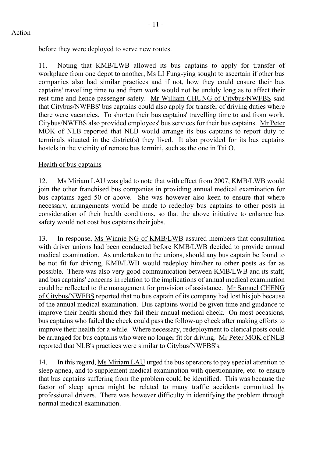before they were deployed to serve new routes.

11. Noting that KMB/LWB allowed its bus captains to apply for transfer of workplace from one depot to another, Ms LI Fung-ying sought to ascertain if other bus companies also had similar practices and if not, how they could ensure their bus captains' travelling time to and from work would not be unduly long as to affect their rest time and hence passenger safety. Mr William CHUNG of Citybus/NWFBS said that Citybus/NWFBS' bus captains could also apply for transfer of driving duties where there were vacancies. To shorten their bus captains' travelling time to and from work, Citybus/NWFBS also provided employees' bus services for their bus captains. Mr Peter MOK of NLB reported that NLB would arrange its bus captains to report duty to terminals situated in the district(s) they lived. It also provided for its bus captains hostels in the vicinity of remote bus termini, such as the one in Tai O.

Health of bus captains

12. Ms Miriam LAU was glad to note that with effect from 2007, KMB/LWB would join the other franchised bus companies in providing annual medical examination for bus captains aged 50 or above. She was however also keen to ensure that where necessary, arrangements would be made to redeploy bus captains to other posts in consideration of their health conditions, so that the above initiative to enhance bus safety would not cost bus captains their jobs.

13. In response, Ms Winnie NG of KMB/LWB assured members that consultation with driver unions had been conducted before KMB/LWB decided to provide annual medical examination. As undertaken to the unions, should any bus captain be found to be not fit for driving, KMB/LWB would redeploy him/her to other posts as far as possible. There was also very good communication between KMB/LWB and its staff, and bus captains' concerns in relation to the implications of annual medical examination could be reflected to the management for provision of assistance. Mr Samuel CHENG of Citybus/NWFBS reported that no bus captain of its company had lost his job because of the annual medical examination. Bus captains would be given time and guidance to improve their health should they fail their annual medical check. On most occasions, bus captains who failed the check could pass the follow-up check after making efforts to improve their health for a while. Where necessary, redeployment to clerical posts could be arranged for bus captains who were no longer fit for driving. Mr Peter MOK of NLB reported that NLB's practices were similar to Citybus/NWFBS's.

14. In this regard, Ms Miriam LAU urged the bus operators to pay special attention to sleep apnea, and to supplement medical examination with questionnaire, etc. to ensure that bus captains suffering from the problem could be identified. This was because the factor of sleep apnea might be related to many traffic accidents committed by professional drivers. There was however difficulty in identifying the problem through normal medical examination.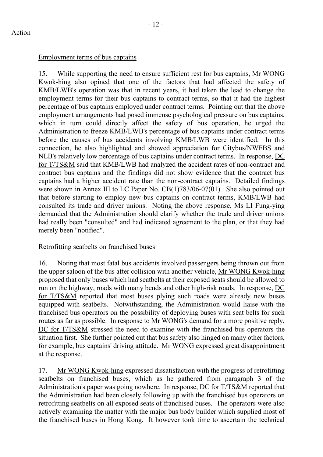#### Employment terms of bus captains

15. While supporting the need to ensure sufficient rest for bus captains, Mr WONG Kwok-hing also opined that one of the factors that had affected the safety of KMB/LWB's operation was that in recent years, it had taken the lead to change the employment terms for their bus captains to contract terms, so that it had the highest percentage of bus captains employed under contract terms. Pointing out that the above employment arrangements had posed immense psychological pressure on bus captains, which in turn could directly affect the safety of bus operation, he urged the Administration to freeze KMB/LWB's percentage of bus captains under contract terms before the causes of bus accidents involving KMB/LWB were identified. In this connection, he also highlighted and showed appreciation for Citybus/NWFBS and NLB's relatively low percentage of bus captains under contract terms. In response, DC for T/TS&M said that KMB/LWB had analyzed the accident rates of non-contract and contract bus captains and the findings did not show evidence that the contract bus captains had a higher accident rate than the non-contract captains. Detailed findings were shown in Annex III to LC Paper No. CB(1)783/06-07(01). She also pointed out that before starting to employ new bus captains on contract terms, KMB/LWB had consulted its trade and driver unions. Noting the above response, Ms LI Fung-ying demanded that the Administration should clarify whether the trade and driver unions had really been "consulted" and had indicated agreement to the plan, or that they had merely been "notified".

## Retrofitting seatbelts on franchised buses

16. Noting that most fatal bus accidents involved passengers being thrown out from the upper saloon of the bus after collision with another vehicle, Mr WONG Kwok-hing proposed that only buses which had seatbelts at their exposed seats should be allowed to run on the highway, roads with many bends and other high-risk roads. In response, DC for T/TS&M reported that most buses plying such roads were already new buses equipped with seatbelts. Notwithstanding, the Administration would liaise with the franchised bus operators on the possibility of deploying buses with seat belts for such routes as far as possible. In response to Mr WONG's demand for a more positive reply, DC for T/TS&M stressed the need to examine with the franchised bus operators the situation first. She further pointed out that bus safety also hinged on many other factors, for example, bus captains' driving attitude. Mr WONG expressed great disappointment at the response.

17. Mr WONG Kwok-hing expressed dissatisfaction with the progress of retrofitting seatbelts on franchised buses, which as he gathered from paragraph 3 of the Administration's paper was going nowhere. In response, DC for T/TS&M reported that the Administration had been closely following up with the franchised bus operators on retrofitting seatbelts on all exposed seats of franchised buses. The operators were also actively examining the matter with the major bus body builder which supplied most of the franchised buses in Hong Kong. It however took time to ascertain the technical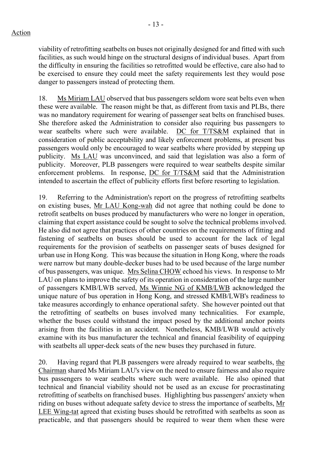viability of retrofitting seatbelts on buses not originally designed for and fitted with such facilities, as such would hinge on the structural designs of individual buses. Apart from the difficulty in ensuring the facilities so retrofitted would be effective, care also had to be exercised to ensure they could meet the safety requirements lest they would pose danger to passengers instead of protecting them.

18. Ms Miriam LAU observed that bus passengers seldom wore seat belts even when these were available. The reason might be that, as different from taxis and PLBs, there was no mandatory requirement for wearing of passenger seat belts on franchised buses. She therefore asked the Administration to consider also requiring bus passengers to wear seatbelts where such were available. DC for T/TS&M explained that in consideration of public acceptability and likely enforcement problems, at present bus passengers would only be encouraged to wear seatbelts where provided by stepping up publicity. Ms LAU was unconvinced, and said that legislation was also a form of publicity. Moreover, PLB passengers were required to wear seatbelts despite similar enforcement problems. In response, DC for T/TS&M said that the Administration intended to ascertain the effect of publicity efforts first before resorting to legislation.

19. Referring to the Administration's report on the progress of retrofitting seatbelts on existing buses, Mr LAU Kong-wah did not agree that nothing could be done to retrofit seatbelts on buses produced by manufacturers who were no longer in operation, claiming that expert assistance could be sought to solve the technical problems involved. He also did not agree that practices of other countries on the requirements of fitting and fastening of seatbelts on buses should be used to account for the lack of legal requirements for the provision of seatbelts on passenger seats of buses designed for urban use in Hong Kong. This was because the situation in Hong Kong, where the roads were narrow but many double-decker buses had to be used because of the large number of bus passengers, was unique. Mrs Selina CHOW echoed his views. In response to Mr LAU on plans to improve the safety of its operation in consideration of the large number of passengers KMB/LWB served, Ms Winnie NG of KMB/LWB acknowledged the unique nature of bus operation in Hong Kong, and stressed KMB/LWB's readiness to take measures accordingly to enhance operational safety. She however pointed out that the retrofitting of seatbelts on buses involved many technicalities. For example, whether the buses could withstand the impact posed by the additional anchor points arising from the facilities in an accident. Nonetheless, KMB/LWB would actively examine with its bus manufacturer the technical and financial feasibility of equipping with seatbelts all upper-deck seats of the new buses they purchased in future.

20. Having regard that PLB passengers were already required to wear seatbelts, the Chairman shared Ms Miriam LAU's view on the need to ensure fairness and also require bus passengers to wear seatbelts where such were available. He also opined that technical and financial viability should not be used as an excuse for procrastinating retrofitting of seatbelts on franchised buses. Highlighting bus passengers' anxiety when riding on buses without adequate safety device to stress the importance of seatbelts, Mr LEE Wing-tat agreed that existing buses should be retrofitted with seatbelts as soon as practicable, and that passengers should be required to wear them when these were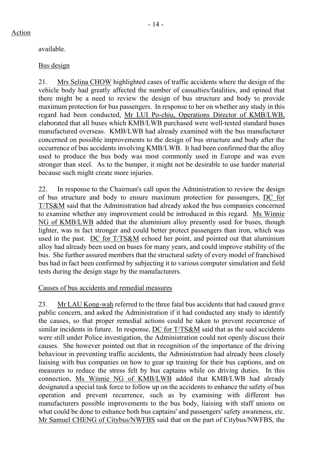# Bus design

21. Mrs Selina CHOW highlighted cases of traffic accidents where the design of the vehicle body had greatly affected the number of casualties/fatalities, and opined that there might be a need to review the design of bus structure and body to provide maximum protection for bus passengers. In response to her on whether any study in this regard had been conducted, Mr LUI Po-chiu, Operations Director of KMB/LWB, elaborated that all buses which KMB/LWB purchased were well-tested standard buses manufactured overseas. KMB/LWB had already examined with the bus manufacturer concerned on possible improvements to the design of bus structure and body after the occurrence of bus accidents involving KMB/LWB. It had been confirmed that the alloy used to produce the bus body was most commonly used in Europe and was even stronger than steel. As to the bumper, it might not be desirable to use harder material because such might create more injuries.

22. In response to the Chairman's call upon the Administration to review the design of bus structure and body to ensure maximum protection for passengers, DC for T/TS&M said that the Administration had already asked the bus companies concerned to examine whether any improvement could be introduced in this regard. Ms Winnie NG of KMB/LWB added that the aluminium alloy presently used for buses, though lighter, was in fact stronger and could better protect passengers than iron, which was used in the past. DC for T/TS&M echoed her point, and pointed out that aluminium alloy had already been used on buses for many years, and could improve stability of the bus. She further assured members that the structural safety of every model of franchised bus had in fact been confirmed by subjecting it to various computer simulation and field tests during the design stage by the manufacturers.

# Causes of bus accidents and remedial measures

23. Mr LAU Kong-wah referred to the three fatal bus accidents that had caused grave public concern, and asked the Administration if it had conducted any study to identify the causes, so that proper remedial actions could be taken to prevent recurrence of similar incidents in future. In response, DC for T/TS&M said that as the said accidents were still under Police investigation, the Administration could not openly discuss their causes. She however pointed out that in recognition of the importance of the driving behaviour in preventing traffic accidents, the Administration had already been closely liaising with bus companies on how to gear up training for their bus captions, and on measures to reduce the stress felt by bus captains while on driving duties. In this connection, Ms Winnie NG of KMB/LWB added that KMB/LWB had already designated a special task force to follow up on the accidents to enhance the safety of bus operation and prevent recurrence, such as by examining with different bus manufacturers possible improvements to the bus body, liaising with staff unions on what could be done to enhance both bus captains' and passengers' safety awareness, etc. Mr Samuel CHENG of Citybus/NWFBS said that on the part of Citybus/NWFBS, the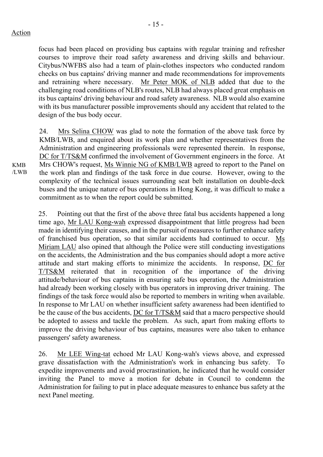focus had been placed on providing bus captains with regular training and refresher courses to improve their road safety awareness and driving skills and behaviour. Citybus/NWFBS also had a team of plain-clothes inspectors who conducted random checks on bus captains' driving manner and made recommendations for improvements and retraining where necessary. Mr Peter MOK of NLB added that due to the challenging road conditions of NLB's routes, NLB had always placed great emphasis on its bus captains' driving behaviour and road safety awareness. NLB would also examine with its bus manufacturer possible improvements should any accident that related to the design of the bus body occur.

24. Mrs Selina CHOW was glad to note the formation of the above task force by KMB/LWB, and enquired about its work plan and whether representatives from the Administration and engineering professionals were represented therein. In response, DC for T/TS&M confirmed the involvement of Government engineers in the force. At Mrs CHOW's request, Ms Winnie NG of KMB/LWB agreed to report to the Panel on the work plan and findings of the task force in due course. However, owing to the complexity of the technical issues surrounding seat belt installation on double-deck buses and the unique nature of bus operations in Hong Kong, it was difficult to make a commitment as to when the report could be submitted.

25. Pointing out that the first of the above three fatal bus accidents happened a long time ago, Mr LAU Kong-wah expressed disappointment that little progress had been made in identifying their causes, and in the pursuit of measures to further enhance safety of franchised bus operation*,* so that similar accidents had continued to occur.Ms Miriam LAU also opined that although the Police were still conducting investigations on the accidents, the Administration and the bus companies should adopt a more active attitude and start making efforts to minimize the accidents. In response, DC for T/TS&M reiterated that in recognition of the importance of the driving attitude/behaviour of bus captains in ensuring safe bus operation, the Administration had already been working closely with bus operators in improving driver training. The findings of the task force would also be reported to members in writing when available. In response to Mr LAU on whether insufficient safety awareness had been identified to be the cause of the bus accidents, DC for T/TS&M said that a macro perspective should be adopted to assess and tackle the problem. As such, apart from making efforts to improve the driving behaviour of bus captains, measures were also taken to enhance passengers' safety awareness.

26. Mr LEE Wing-tat echoed Mr LAU Kong-wah's views above, and expressed grave dissatisfaction with the Administration's work in enhancing bus safety. To expedite improvements and avoid procrastination, he indicated that he would consider inviting the Panel to move a motion for debate in Council to condemn the Administration for failing to put in place adequate measures to enhance bus safety at the next Panel meeting.

KMB /LWB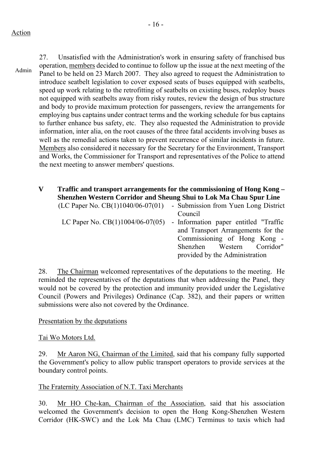Action

Admin

27. Unsatisfied with the Administration's work in ensuring safety of franchised bus operation, members decided to continue to follow up the issue at the next meeting of the Panel to be held on 23 March 2007. They also agreed to request the Administration to introduce seatbelt legislation to cover exposed seats of buses equipped with seatbelts, speed up work relating to the retrofitting of seatbelts on existing buses, redeploy buses not equipped with seatbelts away from risky routes, review the design of bus structure and body to provide maximum protection for passengers, review the arrangements for employing bus captains under contract terms and the working schedule for bus captains to further enhance bus safety, etc. They also requested the Administration to provide information, inter alia, on the root causes of the three fatal accidents involving buses as well as the remedial actions taken to prevent recurrence of similar incidents in future. Members also considered it necessary for the Secretary for the Environment, Transport and Works, the Commissioner for Transport and representatives of the Police to attend the next meeting to answer members' questions.

#### **V Traffic and transport arrangements for the commissioning of Hong Kong – Shenzhen Western Corridor and Sheung Shui to Lok Ma Chau Spur Line** *(LC Paper No. CP(1)1040/06* **07(01) Submission from Vuon Long District**  $\sum_{n=1}^{\infty}$

| $(LC \n(100 \n(111040/00-0)$       | - Submission from ruen Long District  |
|------------------------------------|---------------------------------------|
|                                    | Council                               |
| LC Paper No. $CB(1)1004/06-07(05)$ | - Information paper entitled "Traffic |
|                                    | and Transport Arrangements for the    |
|                                    | Commissioning of Hong Kong -          |
|                                    | Shenzhen Western Corridor"            |
|                                    | provided by the Administration        |

28. The Chairman welcomed representatives of the deputations to the meeting. He reminded the representatives of the deputations that when addressing the Panel, they would not be covered by the protection and immunity provided under the Legislative Council (Powers and Privileges) Ordinance (Cap. 382), and their papers or written submissions were also not covered by the Ordinance.

# Presentation by the deputations

## Tai Wo Motors Ltd.

29. Mr Aaron NG, Chairman of the Limited, said that his company fully supported the Government's policy to allow public transport operators to provide services at the boundary control points.

# The Fraternity Association of N.T. Taxi Merchants

30. Mr HO Che-kan, Chairman of the Association, said that his association welcomed the Government's decision to open the Hong Kong-Shenzhen Western Corridor (HK-SWC) and the Lok Ma Chau (LMC) Terminus to taxis which had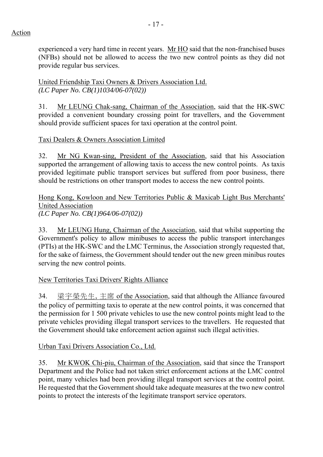experienced a very hard time in recent years. Mr HO said that the non-franchised buses (NFBs) should not be allowed to access the two new control points as they did not provide regular bus services.

United Friendship Taxi Owners & Drivers Association Ltd. *(LC Paper No. CB(1)1034/06-07(02))*

31. Mr LEUNG Chak-sang, Chairman of the Association, said that the HK-SWC provided a convenient boundary crossing point for travellers, and the Government should provide sufficient spaces for taxi operation at the control point.

# Taxi Dealers & Owners Association Limited

32. Mr NG Kwan-sing, President of the Association, said that his Association supported the arrangement of allowing taxis to access the new control points. As taxis provided legitimate public transport services but suffered from poor business, there should be restrictions on other transport modes to access the new control points.

Hong Kong, Kowloon and New Territories Public & Maxicab Light Bus Merchants' United Association *(LC Paper No. CB(1)964/06-07(02))*

33. Mr LEUNG Hung, Chairman of the Association, said that whilst supporting the Government's policy to allow minibuses to access the public transport interchanges (PTIs) at the HK-SWC and the LMC Terminus, the Association strongly requested that, for the sake of fairness, the Government should tender out the new green minibus routes serving the new control points.

New Territories Taxi Drivers' Rights Alliance

34. 梁宇榮先生, 主席 of the Association, said that although the Alliance favoured the policy of permitting taxis to operate at the new control points, it was concerned that the permission for 1 500 private vehicles to use the new control points might lead to the private vehicles providing illegal transport services to the travellers. He requested that the Government should take enforcement action against such illegal activities.

## Urban Taxi Drivers Association Co., Ltd.

35. Mr KWOK Chi-piu, Chairman of the Association, said that since the Transport Department and the Police had not taken strict enforcement actions at the LMC control point, many vehicles had been providing illegal transport services at the control point. He requested that the Government should take adequate measures at the two new control points to protect the interests of the legitimate transport service operators.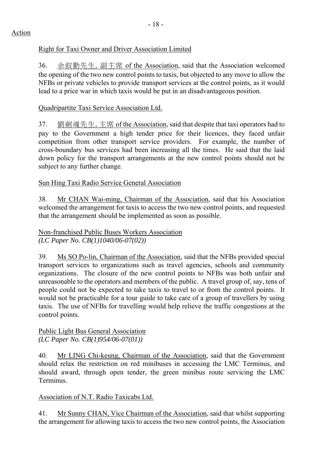# Right for Taxi Owner and Driver Association Limited

36. 余叙勤先生, 副主席 of the Association, said that the Association welcomed the opening of the two new control points to taxis, but objected to any move to allow the NFBs or private vehicles to provide transport services at the control points, as it would lead to a price war in which taxis would be put in an disadvantageous position.

# Quadripartite Taxi Service Association Ltd.

37. 劉劍魂先生, 主席 of the Association, said that despite that taxi operators had to pay to the Government a high tender price for their licences, they faced unfair competition from other transport service providers. For example, the number of cross-boundary bus services had been increasing all the times. He said that the laid down policy for the transport arrangements at the new control points should not be subject to any further change.

# Sun Hing Taxi Radio Service General Association

38. Mr CHAN Wai-ming, Chairman of the Association, said that his Association welcomed the arrangement for taxis to access the two new control points, and requested that the arrangement should be implemented as soon as possible.

Non-franchised Public Buses Workers Association *(LC Paper No. CB(1)1040/06-07(02))*

39. Ms SO Po-lin, Chairman of the Association, said that the NFBs provided special transport services to organizations such as travel agencies, schools and community organizations. The closure of the new control points to NFBs was both unfair and unreasonable to the operators and members of the public. A travel group of, say, tens of people could not be expected to take taxis to travel to or from the control points. It would not be practicable for a tour guide to take care of a group of travellers by using taxis. The use of NFBs for travelling would help relieve the traffic congestions at the control points.

## Public Light Bus General Association *(LC Paper No. CB(1)954/06-07(01))*

40. Mr LING Chi-keung, Chairman of the Association, said that the Government should relax the restriction on red minibuses in accessing the LMC Terminus, and should award, through open tender, the green minibus route servicing the LMC **Terminus** 

# Association of N.T. Radio Taxicabs Ltd.

41. Mr Sunny CHAN, Vice Chairman of the Association, said that whilst supporting the arrangement for allowing taxis to access the two new control points, the Association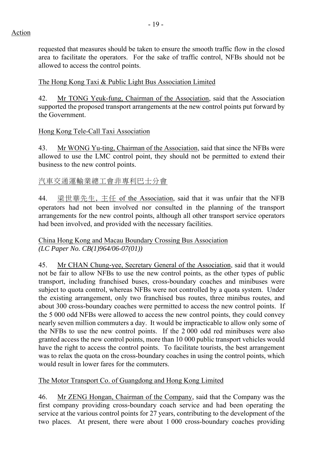requested that measures should be taken to ensure the smooth traffic flow in the closed area to facilitate the operators. For the sake of traffic control, NFBs should not be allowed to access the control points.

The Hong Kong Taxi & Public Light Bus Association Limited

42. Mr TONG Yeuk-fung, Chairman of the Association, said that the Association supported the proposed transport arrangements at the new control points put forward by the Government.

## Hong Kong Tele-Call Taxi Association

43. Mr WONG Yu-ting, Chairman of the Association, said that since the NFBs were allowed to use the LMC control point, they should not be permitted to extend their business to the new control points.

# 汽車交通運輸業總工會非專利巴士分會

44. 梁世華先生, 主任 of the Association, said that it was unfair that the NFB operators had not been involved nor consulted in the planning of the transport arrangements for the new control points, although all other transport service operators had been involved, and provided with the necessary facilities.

## China Hong Kong and Macau Boundary Crossing Bus Association *(LC Paper No. CB(1)964/06-07(01))*

45. Mr CHAN Chung-yee, Secretary General of the Association, said that it would not be fair to allow NFBs to use the new control points, as the other types of public transport, including franchised buses, cross-boundary coaches and minibuses were subject to quota control, whereas NFBs were not controlled by a quota system. Under the existing arrangement, only two franchised bus routes, three minibus routes, and about 300 cross-boundary coaches were permitted to access the new control points. If the 5 000 odd NFBs were allowed to access the new control points, they could convey nearly seven million commuters a day. It would be impracticable to allow only some of the NFBs to use the new control points. If the 2 000 odd red minibuses were also granted access the new control points, more than 10 000 public transport vehicles would have the right to access the control points. To facilitate tourists, the best arrangement was to relax the quota on the cross-boundary coaches in using the control points, which would result in lower fares for the commuters.

The Motor Transport Co. of Guangdong and Hong Kong Limited

46. Mr ZENG Hongan, Chairman of the Company, said that the Company was the first company providing cross-boundary coach service and had been operating the service at the various control points for 27 years, contributing to the development of the two places. At present, there were about 1 000 cross-boundary coaches providing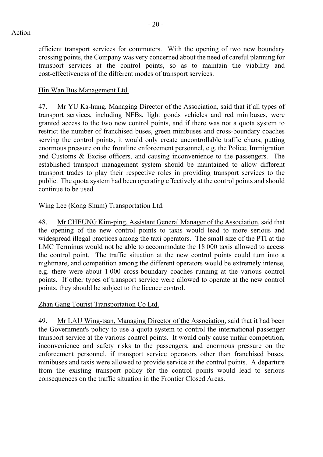efficient transport services for commuters. With the opening of two new boundary crossing points, the Company was very concerned about the need of careful planning for transport services at the control points, so as to maintain the viability and cost-effectiveness of the different modes of transport services.

# Hin Wan Bus Management Ltd.

47. Mr YU Ka-hung, Managing Director of the Association, said that if all types of transport services, including NFBs, light goods vehicles and red minibuses, were granted access to the two new control points, and if there was not a quota system to restrict the number of franchised buses, green minibuses and cross-boundary coaches serving the control points, it would only create uncontrollable traffic chaos, putting enormous pressure on the frontline enforcement personnel, e.g. the Police, Immigration and Customs & Excise officers, and causing inconvenience to the passengers. The established transport management system should be maintained to allow different transport trades to play their respective roles in providing transport services to the public. The quota system had been operating effectively at the control points and should continue to be used.

# Wing Lee (Kong Shum) Transportation Ltd.

48. Mr CHEUNG Kim-ping, Assistant General Manager of the Association, said that the opening of the new control points to taxis would lead to more serious and widespread illegal practices among the taxi operators. The small size of the PTI at the LMC Terminus would not be able to accommodate the 18 000 taxis allowed to access the control point. The traffic situation at the new control points could turn into a nightmare, and competition among the different operators would be extremely intense, e.g. there were about 1 000 cross-boundary coaches running at the various control points. If other types of transport service were allowed to operate at the new control points, they should be subject to the licence control.

## Zhan Gang Tourist Transportation Co Ltd.

49. Mr LAU Wing-tsan, Managing Director of the Association, said that it had been the Government's policy to use a quota system to control the international passenger transport service at the various control points. It would only cause unfair competition, inconvenience and safety risks to the passengers, and enormous pressure on the enforcement personnel, if transport service operators other than franchised buses, minibuses and taxis were allowed to provide service at the control points. A departure from the existing transport policy for the control points would lead to serious consequences on the traffic situation in the Frontier Closed Areas.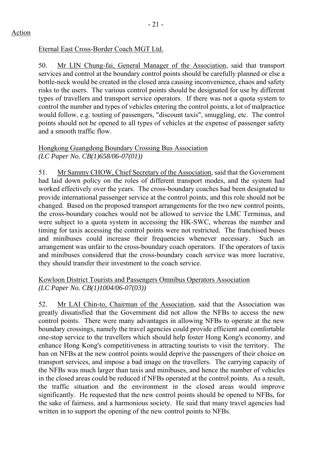# Eternal East Cross-Border Coach MGT Ltd.

50. Mr LIN Chung-fai, General Manager of the Association, said that transport services and control at the boundary control points should be carefully planned or else a bottle-neck would be created in the closed area causing inconvenience, chaos and safety risks to the users. The various control points should be designated for use by different types of travellers and transport service operators. If there was not a quota system to control the number and types of vehicles entering the control points, a lot of malpractice would follow, e.g. touting of passengers, "discount taxis", smuggling, etc. The control points should not be opened to all types of vehicles at the expense of passenger safety and a smooth traffic flow.

## Hongkong Guangdong Boundary Crossing Bus Association *(LC Paper No. CB(1)658/06-07(01))*

51. Mr Sammy CHOW, Chief Secretary of the Association, said that the Government had laid down policy on the roles of different transport modes, and the system had worked effectively over the years. The cross-boundary coaches had been designated to provide international passenger service at the control points, and this role should not be changed. Based on the proposed transport arrangements for the two new control points, the cross-boundary coaches would not be allowed to service the LMC Terminus, and were subject to a quota system in accessing the HK-SWC, whereas the number and timing for taxis accessing the control points were not restricted. The franchised buses and minibuses could increase their frequencies whenever necessary. Such an arrangement was unfair to the cross-boundary coach operators. If the operators of taxis and minibuses considered that the cross-boundary coach service was more lucrative, they should transfer their investment to the coach service.

## Kowloon District Tourists and Passengers Omnibus Operators Association *(LC Paper No. CB(1)1004/06-07(03))*

52. Mr LAI Chin-to, Chairman of the Association, said that the Association was greatly dissatisfied that the Government did not allow the NFBs to access the new control points. There were many advantages in allowing NFBs to operate at the new boundary crossings, namely the travel agencies could provide efficient and comfortable one-stop service to the travellers which should help foster Hong Kong's economy, and enhance Hong Kong's competitiveness in attracting tourists to visit the territory. The ban on NFBs at the new control points would deprive the passengers of their choice on transport services, and impose a bad image on the travellers. The carrying capacity of the NFBs was much larger than taxis and minibuses, and hence the number of vehicles in the closed areas could be reduced if NFBs operated at the control points. As a result, the traffic situation and the environment in the closed areas would improve significantly. He requested that the new control points should be opened to NFBs, for the sake of fairness, and a harmonious society. He said that many travel agencies had written in to support the opening of the new control points to NFBs.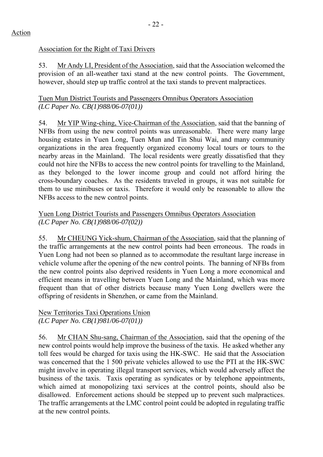# Association for the Right of Taxi Drivers

53. Mr Andy LI, President of the Association, said that the Association welcomed the provision of an all-weather taxi stand at the new control points. The Government, however, should step up traffic control at the taxi stands to prevent malpractices.

Tuen Mun District Tourists and Passengers Omnibus Operators Association *(LC Paper No. CB(1)988/06-07(01))* 

54. Mr YIP Wing-ching, Vice-Chairman of the Association, said that the banning of NFBs from using the new control points was unreasonable. There were many large housing estates in Yuen Long, Tuen Mun and Tin Shui Wai, and many community organizations in the area frequently organized economy local tours or tours to the nearby areas in the Mainland. The local residents were greatly dissatisfied that they could not hire the NFBs to access the new control points for travelling to the Mainland, as they belonged to the lower income group and could not afford hiring the cross-boundary coaches. As the residents traveled in groups, it was not suitable for them to use minibuses or taxis. Therefore it would only be reasonable to allow the NFBs access to the new control points.

# Yuen Long District Tourists and Passengers Omnibus Operators Association *(LC Paper No. CB(1)988/06-07(02))*

55. Mr CHEUNG Yick-shum, Chairman of the Association, said that the planning of the traffic arrangements at the new control points had been erroneous. The roads in Yuen Long had not been so planned as to accommodate the resultant large increase in vehicle volume after the opening of the new control points. The banning of NFBs from the new control points also deprived residents in Yuen Long a more economical and efficient means in travelling between Yuen Long and the Mainland, which was more frequent than that of other districts because many Yuen Long dwellers were the offspring of residents in Shenzhen, or came from the Mainland.

# New Territories Taxi Operations Union *(LC Paper No. CB(1)981/06-07(01))*

56. Mr CHAN Shu-sang, Chairman of the Association, said that the opening of the new control points would help improve the business of the taxis. He asked whether any toll fees would be charged for taxis using the HK-SWC. He said that the Association was concerned that the 1 500 private vehicles allowed to use the PTI at the HK-SWC might involve in operating illegal transport services, which would adversely affect the business of the taxis. Taxis operating as syndicates or by telephone appointments, which aimed at monopolizing taxi services at the control points, should also be disallowed. Enforcement actions should be stepped up to prevent such malpractices. The traffic arrangements at the LMC control point could be adopted in regulating traffic at the new control points.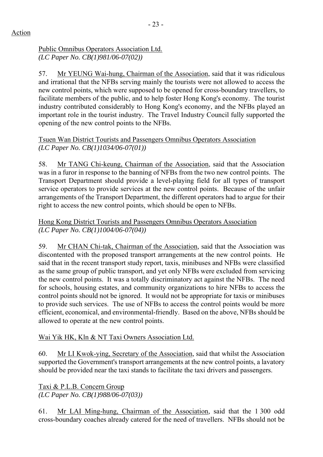# Public Omnibus Operators Association Ltd. *(LC Paper No. CB(1)981/06-07(02))*

57. Mr YEUNG Wai-hung, Chairman of the Association, said that it was ridiculous and irrational that the NFBs serving mainly the tourists were not allowed to access the new control points, which were supposed to be opened for cross-boundary travellers, to facilitate members of the public, and to help foster Hong Kong's economy. The tourist industry contributed considerably to Hong Kong's economy, and the NFBs played an important role in the tourist industry. The Travel Industry Council fully supported the opening of the new control points to the NFBs.

# Tsuen Wan District Tourists and Passengers Omnibus Operators Association *(LC Paper No. CB(1)1034/06-07(01))*

58. Mr TANG Chi-keung, Chairman of the Association, said that the Association was in a furor in response to the banning of NFBs from the two new control points. The Transport Department should provide a level-playing field for all types of transport service operators to provide services at the new control points. Because of the unfair arrangements of the Transport Department, the different operators had to argue for their right to access the new control points, which should be open to NFBs.

# Hong Kong District Tourists and Passengers Omnibus Operators Association *(LC Paper No. CB(1)1004/06-07(04))*

59. Mr CHAN Chi-tak, Chairman of the Association, said that the Association was discontented with the proposed transport arrangements at the new control points. He said that in the recent transport study report, taxis, minibuses and NFBs were classified as the same group of public transport, and yet only NFBs were excluded from servicing the new control points. It was a totally discriminatory act against the NFBs. The need for schools, housing estates, and community organizations to hire NFBs to access the control points should not be ignored. It would not be appropriate for taxis or minibuses to provide such services. The use of NFBs to access the control points would be more efficient, economical, and environmental-friendly. Based on the above, NFBs should be allowed to operate at the new control points.

# Wai Yik HK, Kln & NT Taxi Owners Association Ltd.

60. Mr LI Kwok-ying, Secretary of the Association, said that whilst the Association supported the Government's transport arrangements at the new control points, a lavatory should be provided near the taxi stands to facilitate the taxi drivers and passengers.

Taxi & P.L.B. Concern Group *(LC Paper No. CB(1)988/06-07(03))* 

61. Mr LAI Ming-hung, Chairman of the Association, said that the 1 300 odd cross-boundary coaches already catered for the need of travellers. NFBs should not be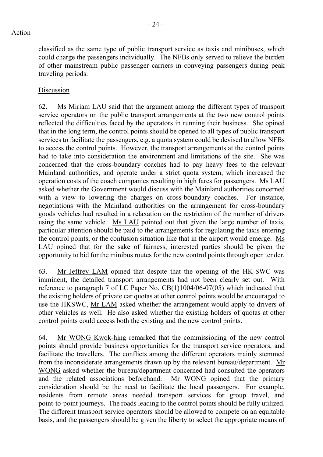classified as the same type of public transport service as taxis and minibuses, which could charge the passengers individually. The NFBs only served to relieve the burden of other mainstream public passenger carriers in conveying passengers during peak traveling periods.

# Discussion

62. Ms Miriam LAU said that the argument among the different types of transport service operators on the public transport arrangements at the two new control points reflected the difficulties faced by the operators in running their business. She opined that in the long term, the control points should be opened to all types of public transport services to facilitate the passengers, e.g. a quota system could be devised to allow NFBs to access the control points. However, the transport arrangements at the control points had to take into consideration the environment and limitations of the site. She was concerned that the cross-boundary coaches had to pay heavy fees to the relevant Mainland authorities, and operate under a strict quota system, which increased the operation costs of the coach companies resulting in high fares for passengers. Ms LAU asked whether the Government would discuss with the Mainland authorities concerned with a view to lowering the charges on cross-boundary coaches. For instance, negotiations with the Mainland authorities on the arrangement for cross-boundary goods vehicles had resulted in a relaxation on the restriction of the number of drivers using the same vehicle. Ms LAU pointed out that given the large number of taxis, particular attention should be paid to the arrangements for regulating the taxis entering the control points, or the confusion situation like that in the airport would emerge. Ms LAU opined that for the sake of fairness, interested parties should be given the opportunity to bid for the minibus routes for the new control points through open tender.

63. Mr Jeffrey LAM opined that despite that the opening of the HK-SWC was imminent, the detailed transport arrangements had not been clearly set out. With reference to paragraph 7 of LC Paper No. CB(1)1004/06-07(05) which indicated that the existing holders of private car quotas at other control points would be encouraged to use the HKSWC, Mr LAM asked whether the arrangement would apply to drivers of other vehicles as well. He also asked whether the existing holders of quotas at other control points could access both the existing and the new control points.

64. Mr WONG Kwok-hing remarked that the commissioning of the new control points should provide business opportunities for the transport service operators, and facilitate the travellers. The conflicts among the different operators mainly stemmed from the inconsiderate arrangements drawn up by the relevant bureau/department. Mr WONG asked whether the bureau/department concerned had consulted the operators and the related associations beforehand. Mr WONG opined that the primary consideration should be the need to facilitate the local passengers. For example, residents from remote areas needed transport services for group travel, and point-to-point journeys. The roads leading to the control points should be fully utilized. The different transport service operators should be allowed to compete on an equitable basis, and the passengers should be given the liberty to select the appropriate means of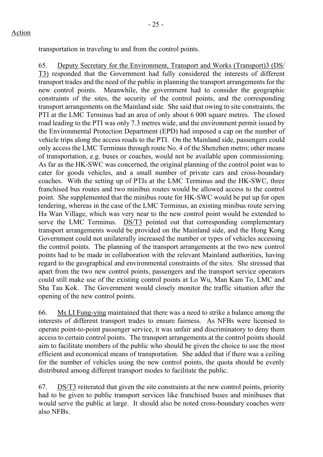transportation in traveling to and from the control points.

65. Deputy Secretary for the Environment, Transport and Works (Transport)3 (DS/ T3) responded that the Government had fully considered the interests of different transport trades and the need of the public in planning the transport arrangements for the new control points. Meanwhile, the government had to consider the geographic constraints of the sites, the security of the control points, and the corresponding transport arrangements on the Mainland side. She said that owing to site constraints, the PTI at the LMC Terminus had an area of only about 6 000 square metres. The closed road leading to the PTI was only 7.3 metres wide, and the environment permit issued by the Environmental Protection Department (EPD) had imposed a cap on the number of vehicle trips along the access roads to the PTI. On the Mainland side, passengers could only access the LMC Terminus through route No. 4 of the Shenzhen metro; other means of transportation, e.g. buses or coaches, would not be available upon commissioning. As far as the HK-SWC was concerned, the original planning of the control point was to cater for goods vehicles, and a small number of private cars and cross-boundary coaches. With the setting up of PTIs at the LMC Terminus and the HK-SWC, three franchised bus routes and two minibus routes would be allowed access to the control point. She supplemented that the minibus route for HK-SWC would be put up for open tendering, whereas in the case of the LMC Terminus, an existing minibus route serving Ha Wan Village, which was very near to the new control point would be extended to serve the LMC Terminus. DS/T3 pointed out that corresponding complementary transport arrangements would be provided on the Mainland side, and the Hong Kong Government could not unilaterally increased the number or types of vehicles accessing the control points. The planning of the transport arrangements at the two new control points had to be made in collaboration with the relevant Mainland authorities, having regard to the geographical and environmental constraints of the sites. She stressed that apart from the two new control points, passengers and the transport service operators could still make use of the existing control points at Lo Wu, Man Kam To, LMC and Sha Tau Kok. The Government would closely monitor the traffic situation after the opening of the new control points.

66. Ms LI Fung-ying maintained that there was a need to strike a balance among the interests of different transport trades to ensure fairness. As NFBs were licensed to operate point-to-point passenger service, it was unfair and discriminatory to deny them access to certain control points. The transport arrangements at the control points should aim to facilitate members of the public who should be given the choice to use the most efficient and economical means of transportation. She added that if there was a ceiling for the number of vehicles using the new control points, the quota should be evenly distributed among different transport modes to facilitate the public.

67. DS/T3 reiterated that given the site constraints at the new control points, priority had to be given to public transport services like franchised buses and minibuses that would serve the public at large. It should also be noted cross-boundary coaches were also NFBs.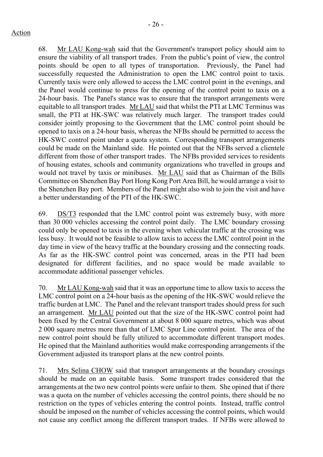68. Mr LAU Kong-wah said that the Government's transport policy should aim to ensure the viability of all transport trades. From the public's point of view, the control points should be open to all types of transportation. Previously, the Panel had successfully requested the Administration to open the LMC control point to taxis. Currently taxis were only allowed to access the LMC control point in the evenings, and the Panel would continue to press for the opening of the control point to taxis on a 24-hour basis. The Panel's stance was to ensure that the transport arrangements were equitable to all transport trades. Mr LAU said that whilst the PTI at LMC Terminus was small, the PTI at HK-SWC was relatively much larger. The transport trades could consider jointly proposing to the Government that the LMC control point should be opened to taxis on a 24-hour basis, whereas the NFBs should be permitted to access the HK-SWC control point under a quota system. Corresponding transport arrangements could be made on the Mainland side. He pointed out that the NFBs served a clientele different from those of other transport trades. The NFBs provided services to residents of housing estates, schools and community organizations who travelled in groups and would not travel by taxis or minibuses. Mr LAU said that as Chairman of the Bills Committee on Shenzhen Bay Port Hong Kong Port Area Bill, he would arrange a visit to the Shenzhen Bay port. Members of the Panel might also wish to join the visit and have a better understanding of the PTI of the HK-SWC.

69. DS/T3 responded that the LMC control point was extremely busy, with more than 30 000 vehicles accessing the control point daily. The LMC boundary crossing could only be opened to taxis in the evening when vehicular traffic at the crossing was less busy. It would not be feasible to allow taxis to access the LMC control point in the day time in view of the heavy traffic at the boundary crossing and the connecting roads. As far as the HK-SWC control point was concerned, areas in the PTI had been designated for different facilities, and no space would be made available to accommodate additional passenger vehicles.

70. Mr LAU Kong-wah said that it was an opportune time to allow taxis to access the LMC control point on a 24-hour basis as the opening of the HK-SWC would relieve the traffic burden at LMC. The Panel and the relevant transport trades should press for such an arrangement. Mr LAU pointed out that the size of the HK-SWC control point had been fixed by the Central Government at about 8 000 square metres, which was about 2 000 square metres more than that of LMC Spur Line control point. The area of the new control point should be fully utilized to accommodate different transport modes. He opined that the Mainland authorities would make corresponding arrangements if the Government adjusted its transport plans at the new control points.

71. Mrs Selina CHOW said that transport arrangements at the boundary crossings should be made on an equitable basis. Some transport trades considered that the arrangements at the two new control points were unfair to them. She opined that if there was a quota on the number of vehicles accessing the control points, there should be no restriction on the types of vehicles entering the control points. Instead, traffic control should be imposed on the number of vehicles accessing the control points, which would not cause any conflict among the different transport trades. If NFBs were allowed to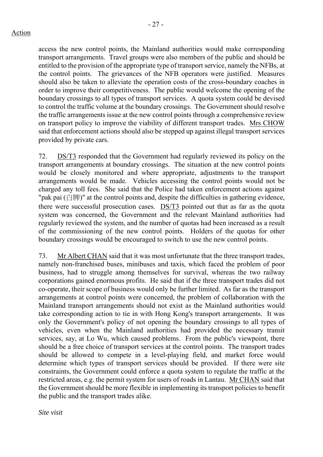- 27 -

access the new control points, the Mainland authorities would make corresponding transport arrangements. Travel groups were also members of the public and should be entitled to the provision of the appropriate type of transport service, namely the NFBs, at the control points. The grievances of the NFB operators were justified. Measures should also be taken to alleviate the operation costs of the cross-boundary coaches in order to improve their competitiveness. The public would welcome the opening of the boundary crossings to all types of transport services. A quota system could be devised to control the traffic volume at the boundary crossings. The Government should resolve the traffic arrangements issue at the new control points through a comprehensive review on transport policy to improve the viability of different transport trades. Mrs CHOW said that enforcement actions should also be stepped up against illegal transport services provided by private cars.

72. DS/T3 responded that the Government had regularly reviewed its policy on the transport arrangements at boundary crossings. The situation at the new control points would be closely monitored and where appropriate, adjustments to the transport arrangements would be made. Vehicles accessing the control points would not be charged any toll fees. She said that the Police had taken enforcement actions against "pak pai  $(\dot{\boxdot} \boxplus \dddot{\boxplus})$ " at the control points and, despite the difficulties in gathering evidence, there were successful prosecution cases. DS/T3 pointed out that as far as the quota system was concerned, the Government and the relevant Mainland authorities had regularly reviewed the system, and the number of quotas had been increased as a result of the commissioning of the new control points. Holders of the quotas for other boundary crossings would be encouraged to switch to use the new control points.

73. Mr Albert CHAN said that it was most unfortunate that the three transport trades, namely non-franchised buses, minibuses and taxis, which faced the problem of poor business, had to struggle among themselves for survival, whereas the two railway corporations gained enormous profits. He said that if the three transport trades did not co-operate, their scope of business would only be further limited. As far as the transport arrangements at control points were concerned, the problem of collaboration with the Mainland transport arrangements should not exist as the Mainland authorities would take corresponding action to tie in with Hong Kong's transport arrangements. It was only the Government's policy of not opening the boundary crossings to all types of vehicles, even when the Mainland authorities had provided the necessary transit services, say, at Lo Wu, which caused problems. From the public's viewpoint, there should be a free choice of transport services at the control points. The transport trades should be allowed to compete in a level-playing field, and market force would determine which types of transport services should be provided. If there were site constraints, the Government could enforce a quota system to regulate the traffic at the restricted areas, e.g. the permit system for users of roads in Lantau. Mr CHAN said that the Government should be more flexible in implementing its transport policies to benefit the public and the transport trades alike.

*Site visit*